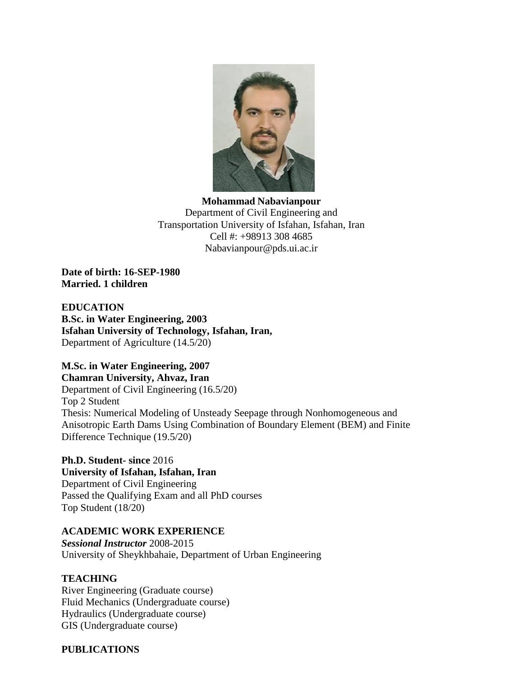

**Mohammad Nabavianpour** Department of Civil Engineering and Transportation University of Isfahan, Isfahan, Iran Cell #: +98913 308 4685 [Nabavianpour@pds.ui.ac.ir](mailto:Nabavianpour@pds.ui.ac.ir)

**Date of birth: 16-SEP-1980 Married. 1 children**

**EDUCATION B.Sc. in Water Engineering, 2003 Isfahan University of Technology, Isfahan, Iran,** Department of Agriculture (14.5/20)

# **M.Sc. in Water Engineering, 2007**

**Chamran University, Ahvaz, Iran** Department of Civil Engineering (16.5/20) Top 2 Student Thesis: Numerical Modeling of Unsteady Seepage through Nonhomogeneous and Anisotropic Earth Dams Using Combination of Boundary Element (BEM) and Finite Difference Technique (19.5/20)

**Ph.D. Student- since** 2016 **University of Isfahan, Isfahan, Iran** Department of Civil Engineering Passed the Qualifying Exam and all PhD courses Top Student (18/20)

### **ACADEMIC WORK EXPERIENCE**

*Sessional Instructor* 2008-2015 University of Sheykhbahaie, Department of Urban Engineering

## **TEACHING**

River Engineering (Graduate course) Fluid Mechanics (Undergraduate course) Hydraulics (Undergraduate course) GIS (Undergraduate course)

#### **PUBLICATIONS**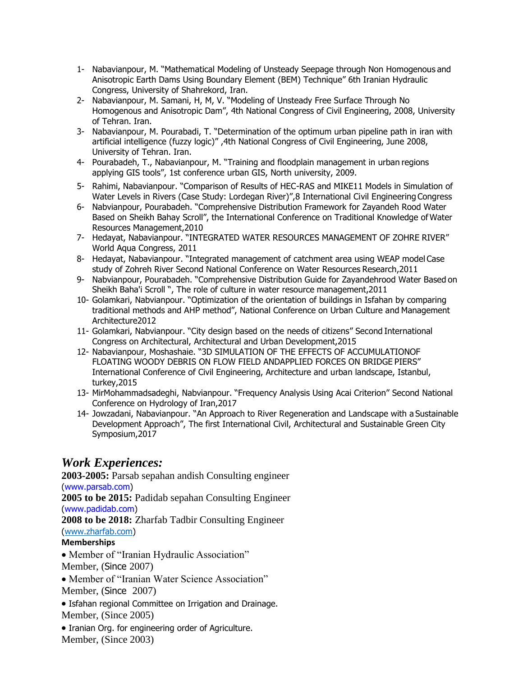- 1- Nabavianpour, M. "Mathematical Modeling of Unsteady Seepage through Non Homogenous and Anisotropic Earth Dams Using Boundary Element (BEM) Technique" 6th Iranian Hydraulic Congress, University of Shahrekord, Iran.
- 2- Nabavianpour, M. Samani, H, M, V. "Modeling of Unsteady Free Surface Through No Homogenous and Anisotropic Dam", 4th National Congress of Civil Engineering, 2008, University of Tehran. Iran.
- 3- Nabavianpour, M. Pourabadi, T. "Determination of the optimum urban pipeline path in iran with artificial intelligence (fuzzy logic)" ,4th National Congress of Civil Engineering, June 2008, University of Tehran. Iran.
- 4- Pourabadeh, T., Nabavianpour, M. "Training and floodplain management in urban regions applying GIS tools", 1st conference urban GIS, North university, 2009.
- 5- Rahimi, Nabavianpour. "Comparison of Results of HEC-RAS and MIKE11 Models in Simulation of Water Levels in Rivers (Case Study: Lordegan River)",8 International Civil Engineering Congress
- 6- Nabvianpour, Pourabadeh. "Comprehensive Distribution Framework for Zayandeh Rood Water Based on Sheikh Bahay Scroll", the International Conference on Traditional Knowledge of Water Resources Management,2010
- 7- Hedayat, Nabavianpour. "INTEGRATED WATER RESOURCES MANAGEMENT OF ZOHRE RIVER" World Aqua Congress, 2011
- 8- Hedayat, Nabavianpour. "Integrated management of catchment area using WEAP model Case study of Zohreh River Second National Conference on Water Resources Research,2011
- 9- Nabvianpour, Pourabadeh. "Comprehensive Distribution Guide for Zayandehrood Water Based on Sheikh Baha'i Scroll ", The role of culture in water resource management,2011
- 10- Golamkari, Nabvianpour. "Optimization of the orientation of buildings in Isfahan by comparing traditional methods and AHP method", National Conference on Urban Culture and Management Architecture2012
- 11- Golamkari, Nabvianpour. "City design based on the needs of citizens" Second International Congress on Architectural, Architectural and Urban Development,2015
- 12- Nabavianpour, Moshashaie. "3D SIMULATION OF THE EFFECTS OF ACCUMULATIONOF FLOATING WOODY DEBRIS ON FLOW FIELD ANDAPPLIED FORCES ON BRIDGE PIERS" International Conference of Civil Engineering, Architecture and urban landscape, Istanbul, turkey,2015
- 13- MirMohammadsadeghi, Nabvianpour. "Frequency Analysis Using Acai Criterion" Second National Conference on Hydrology of Iran,2017
- 14- Jowzadani, Nabavianpour. "An Approach to River Regeneration and Landscape with a Sustainable Development Approach", The first International Civil, Architectural and Sustainable Green City Symposium,2017

# *Work Experiences:*

**2003-2005:** Parsab sepahan andish Consulting engineer (www.parsab.com) **2005 to be 2015:** Padidab sepahan Consulting Engineer (www.padidab.com) **2008 to be 2018:** Zharfab Tadbir Consulting Engineer [\(www.zharfab.com\)](http://www.zharfab.com/) **Memberships**

 Member of "Iranian Hydraulic Association" Member, (Since 2007)

Member of "Iranian Water Science Association"

Member, (Since 2007)

- Isfahan regional Committee on Irrigation and Drainage. Member, (Since 2005)
- Iranian Org. for engineering order of Agriculture.

Member, (Since 2003)